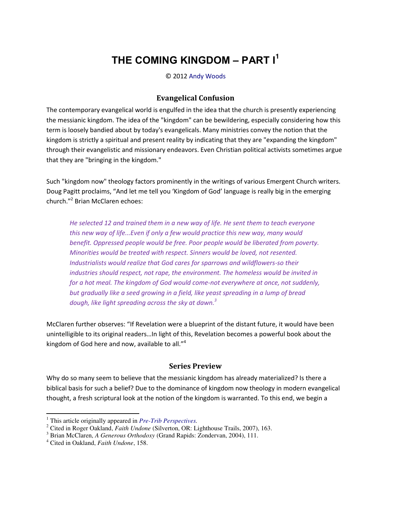# THE COMING KINGDOM - PART I<sup>1</sup>

© 2012 Andy Woods

### **Evangelical Confusion**

The contemporary evangelical world is engulfed in the idea that the church is presently experiencing the messianic kingdom. The idea of the "kingdom" can be bewildering, especially considering how this term is loosely bandied about by today's evangelicals. Many ministries convey the notion that the kingdom is strictly a spiritual and present reality by indicating that they are "expanding the kingdom" through their evangelistic and missionary endeavors. Even Christian political activists sometimes argue that they are "bringing in the kingdom."

Such "kingdom now" theology factors prominently in the writings of various Emergent Church writers. Doug Pagitt proclaims, "And let me tell you 'Kingdom of God' language is really big in the emerging church."<sup>2</sup> Brian McClaren echoes:

He selected 12 and trained them in a new way of life. He sent them to teach everyone this new way of life...Even if only a few would practice this new way, many would benefit. Oppressed people would be free. Poor people would be liberated from poverty. Minorities would be treated with respect. Sinners would be loved, not resented. Industrialists would realize that God cares for sparrows and wildflowers-so their industries should respect, not rape, the environment. The homeless would be invited in for a hot meal. The kingdom of God would come-not everywhere at once, not suddenly, but gradually like a seed growing in a field, like yeast spreading in a lump of bread dough, like light spreading across the sky at dawn.<sup>3</sup>

McClaren further observes: "If Revelation were a blueprint of the distant future, it would have been unintelligible to its original readers...In light of this, Revelation becomes a powerful book about the kingdom of God here and now, available to all."<sup>4</sup>

#### **Series Preview**

Why do so many seem to believe that the messianic kingdom has already materialized? Is there a biblical basis for such a belief? Due to the dominance of kingdom now theology in modern evangelical thought, a fresh scriptural look at the notion of the kingdom is warranted. To this end, we begin a

 $<sup>1</sup>$  This article originally appeared in *Pre-Trib Perspectives*.</sup>

<sup>&</sup>lt;sup>2</sup> Cited in Roger Oakland, *Faith Undone* (Silverton, OR: Lighthouse Trails, 2007), 163.

<sup>&</sup>lt;sup>3</sup> Brian McClaren, A Generous Orthodoxy (Grand Rapids: Zondervan, 2004), 111.

<sup>&</sup>lt;sup>4</sup> Cited in Oakland, Faith Undone, 158.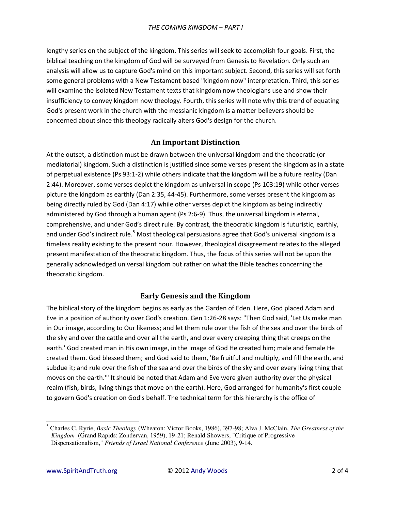lengthy series on the subject of the kingdom. This series will seek to accomplish four goals. First, the biblical teaching on the kingdom of God will be surveyed from Genesis to Revelation. Only such an analysis will allow us to capture God's mind on this important subject. Second, this series will set forth some general problems with a New Testament based "kingdom now" interpretation. Third, this series will examine the isolated New Testament texts that kingdom now theologians use and show their insufficiency to convey kingdom now theology. Fourth, this series will note why this trend of equating God's present work in the church with the messianic kingdom is a matter believers should be concerned about since this theology radically alters God's design for the church.

# **An Important Distinction**

At the outset, a distinction must be drawn between the universal kingdom and the theocratic (or mediatorial) kingdom. Such a distinction is justified since some verses present the kingdom as in a state of perpetual existence (Ps 93:1-2) while others indicate that the kingdom will be a future reality (Dan 2:44). Moreover, some verses depict the kingdom as universal in scope (Ps 103:19) while other verses picture the kingdom as earthly (Dan 2:35, 44-45). Furthermore, some verses present the kingdom as being directly ruled by God (Dan 4:17) while other verses depict the kingdom as being indirectly administered by God through a human agent (Ps 2:6-9). Thus, the universal kingdom is eternal, comprehensive, and under God's direct rule. By contrast, the theocratic kingdom is futuristic, earthly, and under God's indirect rule.<sup>5</sup> Most theological persuasions agree that God's universal kingdom is a timeless reality existing to the present hour. However, theological disagreement relates to the alleged present manifestation of the theocratic kingdom. Thus, the focus of this series will not be upon the generally acknowledged universal kingdom but rather on what the Bible teaches concerning the theocratic kingdom.

# **Early Genesis and the Kingdom**

The biblical story of the kingdom begins as early as the Garden of Eden. Here, God placed Adam and Eve in a position of authority over God's creation. Gen 1:26-28 says: "Then God said, 'Let Us make man in Our image, according to Our likeness; and let them rule over the fish of the sea and over the birds of the sky and over the cattle and over all the earth, and over every creeping thing that creeps on the earth.' God created man in His own image, in the image of God He created him; male and female He created them. God blessed them; and God said to them, 'Be fruitful and multiply, and fill the earth, and subdue it; and rule over the fish of the sea and over the birds of the sky and over every living thing that moves on the earth.'" It should be noted that Adam and Eve were given authority over the physical realm (fish, birds, living things that move on the earth). Here, God arranged for humanity's first couple to govern God's creation on God's behalf. The technical term for this hierarchy is the office of

 $\overline{a}$ 

<sup>5</sup> Charles C. Ryrie, *Basic Theology* (Wheaton: Victor Books, 1986), 397-98; Alva J. McClain, *The Greatness of the Kingdom* (Grand Rapids: Zondervan, 1959), 19-21; Renald Showers, "Critique of Progressive Dispensationalism," *Friends of Israel National Conference* (June 2003), 9-14.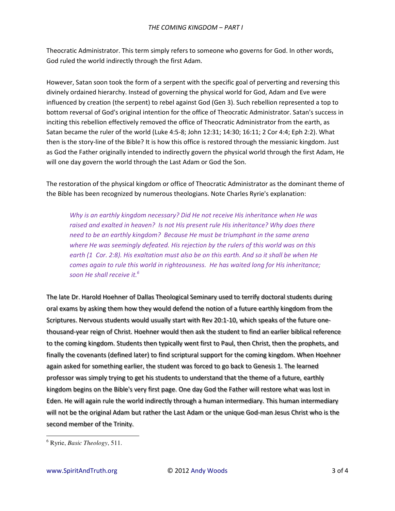Theocratic Administrator. This term simply refers to someone who governs for God. In other words, God ruled the world indirectly through the first Adam.

However, Satan soon took the form of a serpent with the specific goal of perverting and reversing this divinely ordained hierarchy. Instead of governing the physical world for God, Adam and Eve were influenced by creation (the serpent) to rebel against God (Gen 3). Such rebellion represented a top to bottom reversal of God's original intention for the office of Theocratic Administrator. Satan's success in inciting this rebellion effectively removed the office of Theocratic Administrator from the earth, as Satan became the ruler of the world (Luke 4:5-8; John 12:31; 14:30; 16:11; 2 Cor 4:4; Eph 2:2). What then is the story-line of the Bible? It is how this office is restored through the messianic kingdom. Just as God the Father originally intended to indirectly govern the physical world through the first Adam, He will one day govern the world through the Last Adam or God the Son.

The restoration of the physical kingdom or office of Theocratic Administrator as the dominant theme of the Bible has been recognized by numerous theologians. Note Charles Ryrie's explanation:

*Why is an earthly kingdom necessary? Did He not receive His inheritance when He was raised and exalted in heaven? Is not His present rule His inheritance? Why does there need to be an earthly kingdom? Because He must be triumphant in the same arena where He was seemingly defeated. His rejection by the rulers of this world was on this earth (1 Cor. 2:8). His exaltation must also be on this earth. And so it shall be when He comes again to rule this world in righteousness. He has waited long for His inheritance; soon He shall receive it.<sup>6</sup>*

The late Dr. Harold Hoehner of Dallas Theological Seminary used to terrify doctoral students during oral exams by asking them how they would defend the notion of a future earthly kingdom from the Scriptures. Nervous students would usually start with Rev 20:1-10, which speaks of the future onethousand-year reign of Christ. Hoehner would then ask the student to find an earlier biblical reference to the coming kingdom. Students then typically went first to Paul, then Christ, then the prophets, and finally the covenants (defined later) to find scriptural support for the coming kingdom. When Hoehner again asked for something earlier, the student was forced to go back to Genesis 1. The learned professor was simply trying to get his students to understand that the theme of a future, earthly kingdom begins on the Bible's very first page. One day God the Father will restore what was lost in Eden. He will again rule the world indirectly through a human intermediary. This human intermediary will not be the original Adam but rather the Last Adam or the unique God-man Jesus Christ who is the second member of the Trinity.

 $\overline{a}$ 

<sup>6</sup> Ryrie, *Basic Theology*, 511.